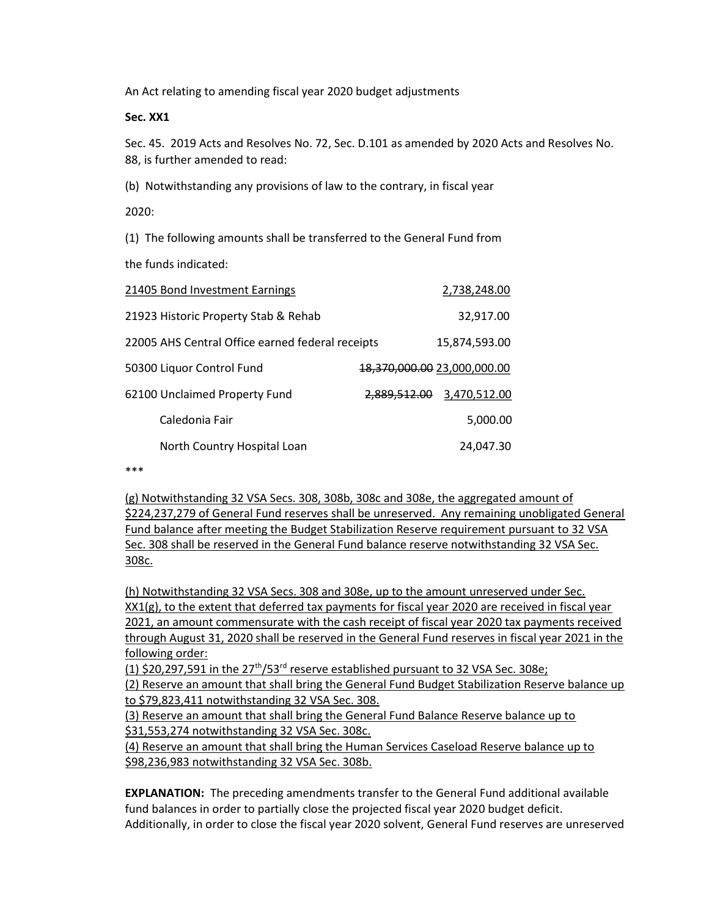An Act relating to amending fiscal year 2020 budget adjustments

Sec. XX1

Sec. 45. 2019 Acts and Resolves No. 72, Sec. D.101 as amended by 2020 Acts and Resolves No. 88, is further amended to read:

(b) Notwithstanding any provisions of law to the contrary, in fiscal year

2020:

(1) The following amounts shall be transferred to the General Fund from

the funds indicated:

| 21405 Bond Investment Earnings                   |                             | 2,738,248.00  |
|--------------------------------------------------|-----------------------------|---------------|
| 21923 Historic Property Stab & Rehab             |                             | 32,917.00     |
| 22005 AHS Central Office earned federal receipts |                             | 15,874,593.00 |
| 50300 Liquor Control Fund                        | 18,370,000.00 23,000,000.00 |               |
| 62100 Unclaimed Property Fund                    | <del>2,889,512.00</del>     | 3,470,512.00  |
| Caledonia Fair                                   |                             | 5,000.00      |
| North Country Hospital Loan                      |                             | 24,047.30     |
|                                                  |                             |               |

<sup>\*\*\*</sup> 

(g) Notwithstanding 32 VSA Secs. 308, 308b, 308c and 308e, the aggregated amount of \$224,237,279 of General Fund reserves shall be unreserved. Any remaining unobligated General Fund balance after meeting the Budget Stabilization Reserve requirement pursuant to 32 VSA Sec. 308 shall be reserved in the General Fund balance reserve notwithstanding 32 VSA Sec. 308c.

(h) Notwithstanding 32 VSA Secs. 308 and 308e, up to the amount unreserved under Sec. XX1(g), to the extent that deferred tax payments for fiscal year 2020 are received in fiscal year 2021, an amount commensurate with the cash receipt of fiscal year 2020 tax payments received through August 31, 2020 shall be reserved in the General Fund reserves in fiscal year 2021 in the following order:

(1)  $$20,297,591$  in the  $27<sup>th</sup>/53<sup>rd</sup>$  reserve established pursuant to 32 VSA Sec. 308e;

(2) Reserve an amount that shall bring the General Fund Budget Stabilization Reserve balance up to \$79,823,411 notwithstanding 32 VSA Sec. 308.

(3) Reserve an amount that shall bring the General Fund Balance Reserve balance up to \$31,553,274 notwithstanding 32 VSA Sec. 308c.

(4) Reserve an amount that shall bring the Human Services Caseload Reserve balance up to \$98,236,983 notwithstanding 32 VSA Sec. 308b.

**EXPLANATION:** The preceding amendments transfer to the General Fund additional available fund balances in order to partially close the projected fiscal year 2020 budget deficit. Additionally, in order to close the fiscal year 2020 solvent, General Fund reserves are unreserved